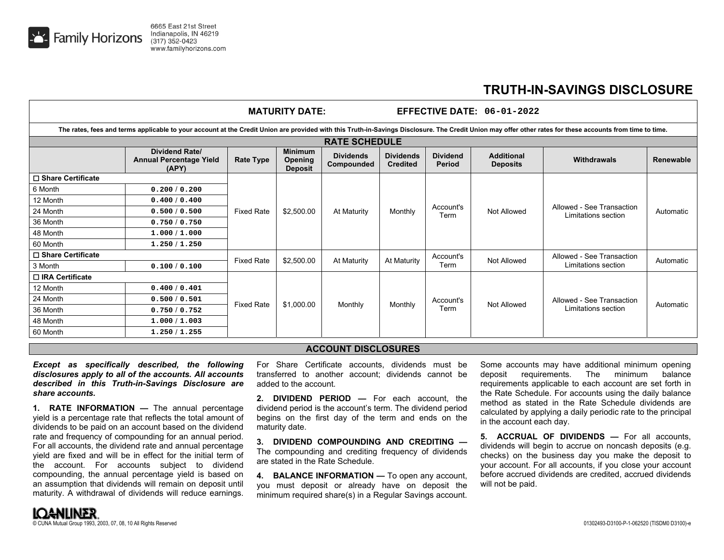

## **TRUTH-IN-SAVINGS DISCLOSURE**

|                                                                                                                                                                                                           |                                                                  |                   | <b>MATURITY DATE:</b>                       |                                |                                     |                           | <b>EFFECTIVE DATE: 06-01-2022</b>    |                                                  |                  |  |  |
|-----------------------------------------------------------------------------------------------------------------------------------------------------------------------------------------------------------|------------------------------------------------------------------|-------------------|---------------------------------------------|--------------------------------|-------------------------------------|---------------------------|--------------------------------------|--------------------------------------------------|------------------|--|--|
| The rates, fees and terms applicable to your account at the Credit Union are provided with this Truth-in-Savings Disclosure. The Credit Union may offer other rates for these accounts from time to time. |                                                                  |                   |                                             |                                |                                     |                           |                                      |                                                  |                  |  |  |
| <b>RATE SCHEDULE</b>                                                                                                                                                                                      |                                                                  |                   |                                             |                                |                                     |                           |                                      |                                                  |                  |  |  |
|                                                                                                                                                                                                           | <b>Dividend Rate/</b><br><b>Annual Percentage Yield</b><br>(APY) | <b>Rate Type</b>  | <b>Minimum</b><br>Opening<br><b>Deposit</b> | <b>Dividends</b><br>Compounded | <b>Dividends</b><br><b>Credited</b> | <b>Dividend</b><br>Period | <b>Additional</b><br><b>Deposits</b> | Withdrawals                                      | <b>Renewable</b> |  |  |
| □ Share Certificate                                                                                                                                                                                       |                                                                  |                   | \$2,500.00                                  | At Maturity                    | Monthly                             | Account's<br>Term         | Not Allowed                          | Allowed - See Transaction<br>Limitations section | Automatic        |  |  |
| 6 Month                                                                                                                                                                                                   | 0.200 / 0.200                                                    | <b>Fixed Rate</b> |                                             |                                |                                     |                           |                                      |                                                  |                  |  |  |
| 12 Month                                                                                                                                                                                                  | 0.400/0.400                                                      |                   |                                             |                                |                                     |                           |                                      |                                                  |                  |  |  |
| 24 Month                                                                                                                                                                                                  | 0.500/0.500                                                      |                   |                                             |                                |                                     |                           |                                      |                                                  |                  |  |  |
| 36 Month                                                                                                                                                                                                  | 0.750/0.750                                                      |                   |                                             |                                |                                     |                           |                                      |                                                  |                  |  |  |
| 48 Month                                                                                                                                                                                                  | 1.000 / 1.000                                                    |                   |                                             |                                |                                     |                           |                                      |                                                  |                  |  |  |
| 60 Month                                                                                                                                                                                                  | 1.250 / 1.250                                                    |                   |                                             |                                |                                     |                           |                                      |                                                  |                  |  |  |
| □ Share Certificate                                                                                                                                                                                       |                                                                  | <b>Fixed Rate</b> |                                             |                                | At Maturity                         | Account's                 | Not Allowed                          | Allowed - See Transaction                        | Automatic        |  |  |
| 3 Month                                                                                                                                                                                                   | 0.100 / 0.100                                                    |                   | \$2,500.00                                  | At Maturity                    |                                     | Term                      |                                      | Limitations section                              |                  |  |  |
| □ IRA Certificate                                                                                                                                                                                         |                                                                  |                   |                                             |                                |                                     |                           |                                      |                                                  |                  |  |  |
| 12 Month                                                                                                                                                                                                  | 0.400/0.401                                                      | <b>Fixed Rate</b> | \$1,000.00                                  | Monthly                        | Monthly                             | Account's<br>Term         | Not Allowed                          | Allowed - See Transaction<br>Limitations section | Automatic        |  |  |
| 24 Month                                                                                                                                                                                                  | 0.500/0.501                                                      |                   |                                             |                                |                                     |                           |                                      |                                                  |                  |  |  |
| 36 Month                                                                                                                                                                                                  | 0.750/0.752                                                      |                   |                                             |                                |                                     |                           |                                      |                                                  |                  |  |  |
| 48 Month                                                                                                                                                                                                  | 1.000 / 1.003                                                    |                   |                                             |                                |                                     |                           |                                      |                                                  |                  |  |  |
| 60 Month                                                                                                                                                                                                  | 1.250/1.255                                                      |                   |                                             |                                |                                     |                           |                                      |                                                  |                  |  |  |

## **ACCOUNT DISCLOSURES**

*Except as specifically described, the following disclosures apply to all of the accounts. All accounts described in this Truth-in-Savings Disclosure are share accounts.* 

**1. RATE INFORMATION —** The annual percentage yield is a percentage rate that reflects the total amount of dividends to be paid on an account based on the dividend rate and frequency of compounding for an annual period. For all accounts, the dividend rate and annual percentage yield are fixed and will be in effect for the initial term of the account. For accounts subject to dividend compounding, the annual percentage yield is based on an assumption that dividends will remain on deposit until maturity. A withdrawal of dividends will reduce earnings.

For Share Certificate accounts, dividends must be transferred to another account; dividends cannot be added to the account.

**2. DIVIDEND PERIOD —** For each account, the dividend period is the account's term. The dividend period begins on the first day of the term and ends on the maturity date.

**3. DIVIDEND COMPOUNDING AND CREDITING —** The compounding and crediting frequency of dividends are stated in the Rate Schedule.

**4. BALANCE INFORMATION —** To open any account, you must deposit or already have on deposit the minimum required share(s) in a Regular Savings account.

Some accounts may have additional minimum opening deposit requirements. The minimum balance requirements applicable to each account are set forth in the Rate Schedule. For accounts using the daily balance method as stated in the Rate Schedule dividends are calculated by applying a daily periodic rate to the principal in the account each day.

**5. ACCRUAL OF DIVIDENDS —** For all accounts, dividends will begin to accrue on noncash deposits (e.g. checks) on the business day you make the deposit to your account. For all accounts, if you close your account before accrued dividends are credited, accrued dividends will not be paid.